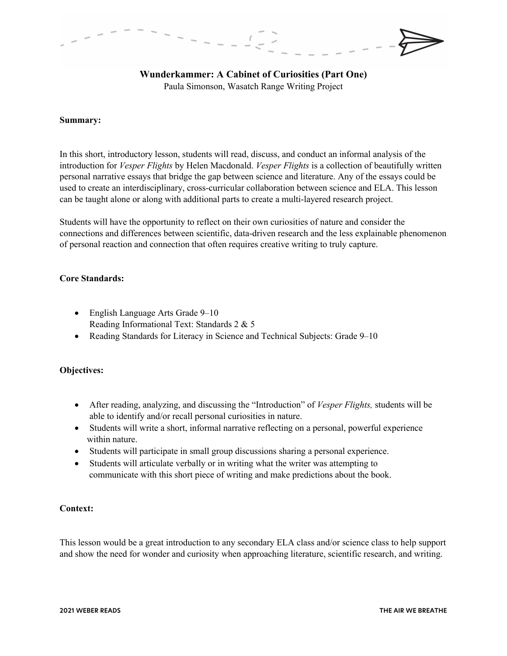# **Wunderkammer: A Cabinet of Curiosities (Part One)**

Paula Simonson, Wasatch Range Writing Project

#### **Summary:**

In this short, introductory lesson, students will read, discuss, and conduct an informal analysis of the introduction for *Vesper Flights* by Helen Macdonald. *Vesper Flights* is a collection of beautifully written personal narrative essays that bridge the gap between science and literature. Any of the essays could be used to create an interdisciplinary, cross-curricular collaboration between science and ELA. This lesson can be taught alone or along with additional parts to create a multi-layered research project.

Students will have the opportunity to reflect on their own curiosities of nature and consider the connections and differences between scientific, data-driven research and the less explainable phenomenon of personal reaction and connection that often requires creative writing to truly capture.

## **Core Standards:**

- English Language Arts Grade 9–10 Reading Informational Text: Standards 2 & 5
- Reading Standards for Literacy in Science and Technical Subjects: Grade 9–10

## **Objectives:**

- After reading, analyzing, and discussing the "Introduction" of *Vesper Flights,* students will be able to identify and/or recall personal curiosities in nature.
- Students will write a short, informal narrative reflecting on a personal, powerful experience within nature.
- Students will participate in small group discussions sharing a personal experience.
- Students will articulate verbally or in writing what the writer was attempting to communicate with this short piece of writing and make predictions about the book.

## **Context:**

This lesson would be a great introduction to any secondary ELA class and/or science class to help support and show the need for wonder and curiosity when approaching literature, scientific research, and writing.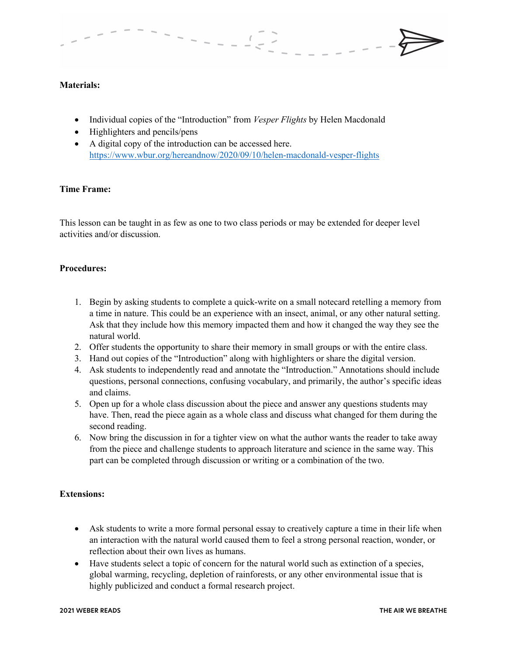## **Materials:**

- Individual copies of the "Introduction" from *Vesper Flights* by Helen Macdonald
- Highlighters and pencils/pens
- A digital copy of the introduction can be accessed here. https://www.wbur.org/hereandnow/2020/09/10/helen-macdonald-vesper-flights

## **Time Frame:**

This lesson can be taught in as few as one to two class periods or may be extended for deeper level activities and/or discussion.

## **Procedures:**

- 1. Begin by asking students to complete a quick-write on a small notecard retelling a memory from a time in nature. This could be an experience with an insect, animal, or any other natural setting. Ask that they include how this memory impacted them and how it changed the way they see the natural world.
- 2. Offer students the opportunity to share their memory in small groups or with the entire class.
- 3. Hand out copies of the "Introduction" along with highlighters or share the digital version.
- 4. Ask students to independently read and annotate the "Introduction." Annotations should include questions, personal connections, confusing vocabulary, and primarily, the author's specific ideas and claims.
- 5. Open up for a whole class discussion about the piece and answer any questions students may have. Then, read the piece again as a whole class and discuss what changed for them during the second reading.
- 6. Now bring the discussion in for a tighter view on what the author wants the reader to take away from the piece and challenge students to approach literature and science in the same way. This part can be completed through discussion or writing or a combination of the two.

## **Extensions:**

- Ask students to write a more formal personal essay to creatively capture a time in their life when an interaction with the natural world caused them to feel a strong personal reaction, wonder, or reflection about their own lives as humans.
- Have students select a topic of concern for the natural world such as extinction of a species, global warming, recycling, depletion of rainforests, or any other environmental issue that is highly publicized and conduct a formal research project.